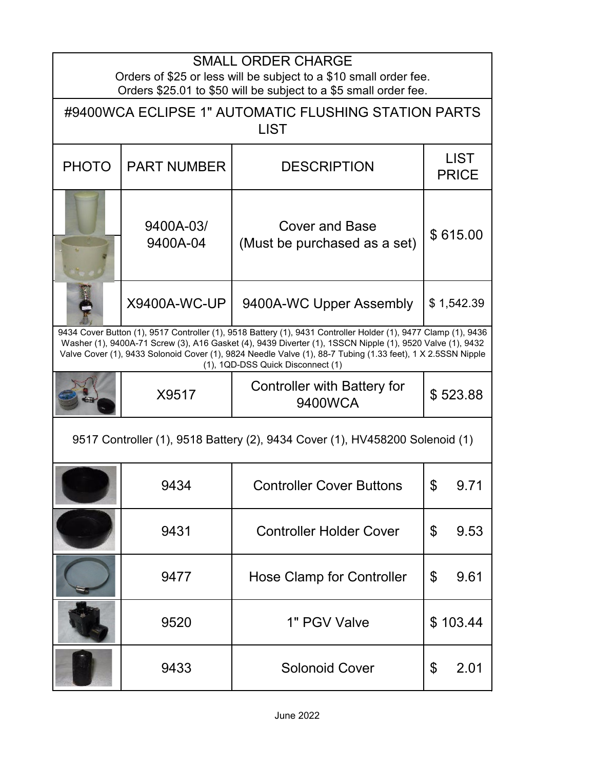| <b>SMALL ORDER CHARGE</b><br>Orders of \$25 or less will be subject to a \$10 small order fee.                                                                                                                                                                                                                                                                                  |                       |                                                       |                             |  |  |
|---------------------------------------------------------------------------------------------------------------------------------------------------------------------------------------------------------------------------------------------------------------------------------------------------------------------------------------------------------------------------------|-----------------------|-------------------------------------------------------|-----------------------------|--|--|
| Orders \$25.01 to \$50 will be subject to a \$5 small order fee.<br>#9400WCA ECLIPSE 1" AUTOMATIC FLUSHING STATION PARTS<br><b>LIST</b>                                                                                                                                                                                                                                         |                       |                                                       |                             |  |  |
| <b>PHOTO</b>                                                                                                                                                                                                                                                                                                                                                                    | <b>PART NUMBER</b>    | <b>DESCRIPTION</b>                                    | <b>LIST</b><br><b>PRICE</b> |  |  |
|                                                                                                                                                                                                                                                                                                                                                                                 | 9400A-03/<br>9400A-04 | <b>Cover and Base</b><br>(Must be purchased as a set) | \$615.00                    |  |  |
|                                                                                                                                                                                                                                                                                                                                                                                 | <b>X9400A-WC-UP</b>   | 9400A-WC Upper Assembly                               | \$1,542.39                  |  |  |
| 9434 Cover Button (1), 9517 Controller (1), 9518 Battery (1), 9431 Controller Holder (1), 9477 Clamp (1), 9436<br>Washer (1), 9400A-71 Screw (3), A16 Gasket (4), 9439 Diverter (1), 1SSCN Nipple (1), 9520 Valve (1), 9432<br>Valve Cover (1), 9433 Solonoid Cover (1), 9824 Needle Valve (1), 88-7 Tubing (1.33 feet), 1 X 2.5SSN Nipple<br>(1), 1QD-DSS Quick Disconnect (1) |                       |                                                       |                             |  |  |
|                                                                                                                                                                                                                                                                                                                                                                                 | X9517                 | <b>Controller with Battery for</b><br>9400WCA         | \$523.88                    |  |  |
| 9517 Controller (1), 9518 Battery (2), 9434 Cover (1), HV458200 Solenoid (1)                                                                                                                                                                                                                                                                                                    |                       |                                                       |                             |  |  |
|                                                                                                                                                                                                                                                                                                                                                                                 | 9434                  | <b>Controller Cover Buttons</b>                       | \$<br>9.71                  |  |  |
|                                                                                                                                                                                                                                                                                                                                                                                 | 9431                  | <b>Controller Holder Cover</b>                        | \$<br>9.53                  |  |  |
|                                                                                                                                                                                                                                                                                                                                                                                 | 9477                  | <b>Hose Clamp for Controller</b>                      | \$<br>9.61                  |  |  |
|                                                                                                                                                                                                                                                                                                                                                                                 | 9520                  | 1" PGV Valve                                          | \$103.44                    |  |  |
|                                                                                                                                                                                                                                                                                                                                                                                 | 9433                  | <b>Solonoid Cover</b>                                 | \$<br>2.01                  |  |  |